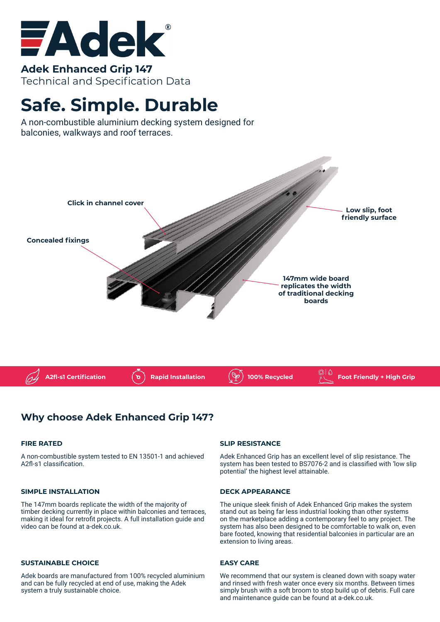

**Adek Enhanced Grip 147** Technical and Specification Data

# **Safe. Simple. Durable**

A non-combustible aluminium decking system designed for balconies, walkways and roof terraces.



## **Why choose Adek Enhanced Grip 147?**

#### **FIRE RATED**

A non-combustible system tested to EN 13501-1 and achieved A2fl-s1 classification.

#### **SIMPLE INSTALLATION**

The 147mm boards replicate the width of the majority of timber decking currently in place within balconies and terraces, making it ideal for retrofit projects. A full installation guide and video can be found at a-dek.co.uk.

#### **SUSTAINABLE CHOICE**

Adek boards are manufactured from 100% recycled aluminium and can be fully recycled at end of use, making the Adek system a truly sustainable choice.

#### **SLIP RESISTANCE**

Adek Enhanced Grip has an excellent level of slip resistance. The system has been tested to BS7076-2 and is classified with 'low slip potential' the highest level attainable.

#### **DECK APPEARANCE**

The unique sleek finish of Adek Enhanced Grip makes the system stand out as being far less industrial looking than other systems on the marketplace adding a contemporary feel to any project. The system has also been designed to be comfortable to walk on, even bare footed, knowing that residential balconies in particular are an extension to living areas.

#### **EASY CARE**

We recommend that our system is cleaned down with soapy water and rinsed with fresh water once every six months. Between times simply brush with a soft broom to stop build up of debris. Full care and maintenance guide can be found at a-dek.co.uk.